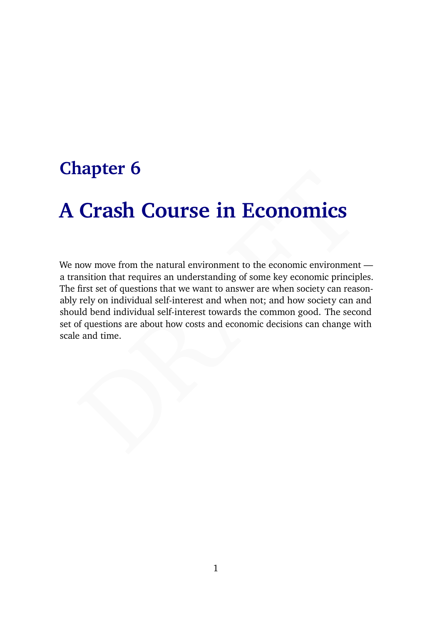# **Chapter 6**

# **A Crash Course in Economics**

**Crash Course in Economic environment**<br>now move from the natural environment to the economic environment—<br>masition that requires an understanding of some key economic principles.<br>first set of questions that we want to answ We now move from the natural environment to the economic environment a transition that requires an understanding of some key economic principles. The first set of questions that we want to answer are when society can reasonably rely on individual self-interest and when not; and how society can and should bend individual self-interest towards the common good. The second set of questions are about how costs and economic decisions can change with scale and time.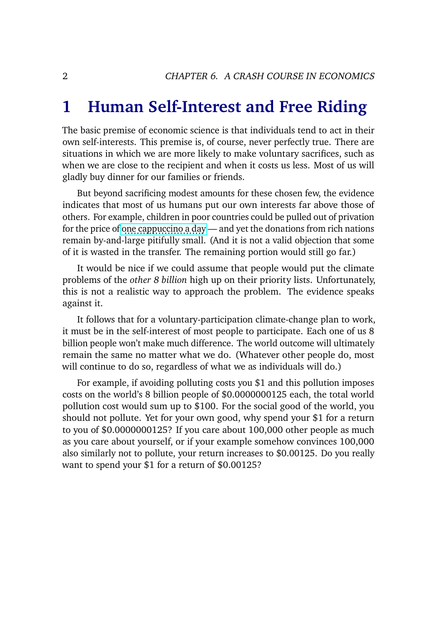## **1 Human Self-Interest and Free Riding**

The basic premise of economic science is that individuals tend to act in their own self-interests. This premise is, of course, never perfectly true. There are situations in which we are more likely to make voluntary sacrifices, such as when we are close to the recipient and when it costs us less. Most of us will gladly buy dinner for our families or friends.

But beyond sacrificing modest amounts for these chosen few, the evidence indicates that most of us humans put our own interests far above those of others. For example, children in poor countries could be pulled out of privation for the price of [one cappuccino a day](https://www.youtube.com/watch?v=XozrqJHA-yI) — and yet the donations from rich nations remain by-and-large pitifully small. (And it is not a valid objection that some of it is wasted in the transfer. The remaining portion would still go far.)

It would be nice if we could assume that people would put the climate problems of the *other 8 billion* high up on their priority lists. Unfortunately, this is not a realistic way to approach the problem. The evidence speaks against it.

It follows that for a voluntary-participation climate-change plan to work, it must be in the self-interest of most people to participate. Each one of us 8 billion people won't make much difference. The world outcome will ultimately remain the same no matter what we do. (Whatever other people do, most will continue to do so, regardless of what we as individuals will do.)

For example, if avoiding polluting costs you \$1 and this pollution imposes costs on the world's 8 billion people of \$0.0000000125 each, the total world pollution cost would sum up to \$100. For the social good of the world, you should not pollute. Yet for your own good, why spend your \$1 for a return to you of \$0.0000000125? If you care about 100,000 other people as much as you care about yourself, or if your example somehow convinces 100,000 also similarly not to pollute, your return increases to \$0.00125. Do you really want to spend your \$1 for a return of \$0.00125?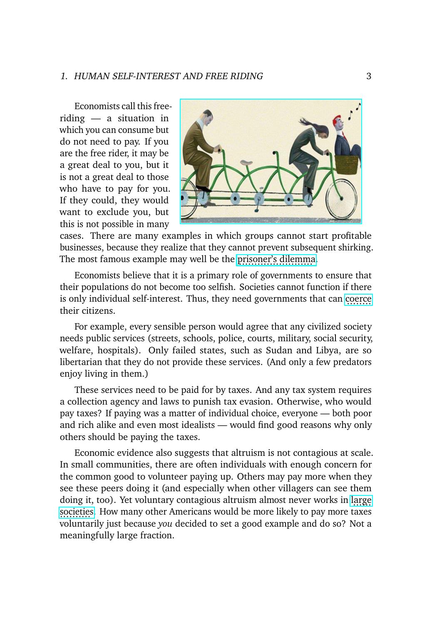Economists call this freeriding — a situation in which you can consume but do not need to pay. If you are the free rider, it may be a great deal to you, but it is not a great deal to those who have to pay for you. If they could, they would want to exclude you, but this is not possible in many



cases. There are many examples in which groups cannot start profitable businesses, because they realize that they cannot prevent subsequent shirking. The most famous example may well be the [prisoner's dilemma.](https://en.wikipedia.org/wiki/Prisoner%27s_dilemma)

Economists believe that it is a primary role of governments to ensure that their populations do not become too selfish. Societies cannot function if there is only individual self-interest. Thus, they need governments that can [coerce](https://plato.stanford.edu/entries/coercion/) their citizens.

For example, every sensible person would agree that any civilized society needs public services (streets, schools, police, courts, military, social security, welfare, hospitals). Only failed states, such as Sudan and Libya, are so libertarian that they do not provide these services. (And only a few predators enjoy living in them.)

These services need to be paid for by taxes. And any tax system requires a collection agency and laws to punish tax evasion. Otherwise, who would pay taxes? If paying was a matter of individual choice, everyone — both poor and rich alike and even most idealists — would find good reasons why only others should be paying the taxes.

Economic evidence also suggests that altruism is not contagious at scale. In small communities, there are often individuals with enough concern for the common good to volunteer paying up. Others may pay more when they see these peers doing it (and especially when other villagers can see them doing it, too). Yet voluntary contagious altruism almost never works in [large](https://www.nber.org/papers/w29375) [societies.](https://www.nber.org/papers/w29375) How many other Americans would be more likely to pay more taxes voluntarily just because *you* decided to set a good example and do so? Not a meaningfully large fraction.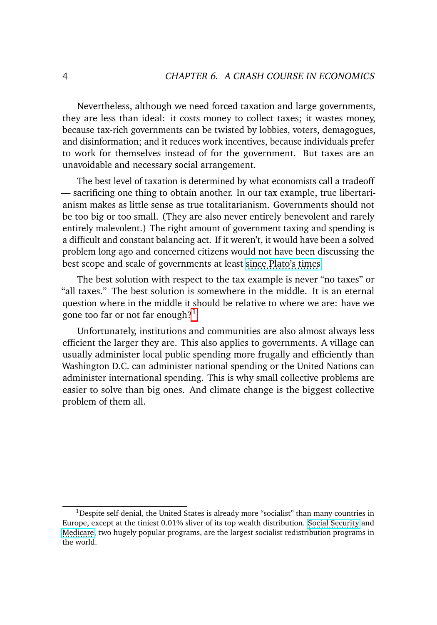Nevertheless, although we need forced taxation and large governments, they are less than ideal: it costs money to collect taxes; it wastes money, because tax-rich governments can be twisted by lobbies, voters, demagogues, and disinformation; and it reduces work incentives, because individuals prefer to work for themselves instead of for the government. But taxes are an unavoidable and necessary social arrangement.

The best level of taxation is determined by what economists call a tradeoff — sacrificing one thing to obtain another. In our tax example, true libertarianism makes as little sense as true totalitarianism. Governments should not be too big or too small. (They are also never entirely benevolent and rarely entirely malevolent.) The right amount of government taxing and spending is a difficult and constant balancing act. If it weren't, it would have been a solved problem long ago and concerned citizens would not have been discussing the best scope and scale of governments at least [since Plato's times.](https://en.wikipedia.org/wiki/Political_philosophy)

The best solution with respect to the tax example is never "no taxes" or "all taxes." The best solution is somewhere in the middle. It is an eternal question where in the middle it should be relative to where we are: have we gone too far or not far enough?<sup>[1](#page-27-0)</sup>

Unfortunately, institutions and communities are also almost always less efficient the larger they are. This also applies to governments. A village can usually administer local public spending more frugally and efficiently than Washington D.C. can administer national spending or the United Nations can administer international spending. This is why small collective problems are easier to solve than big ones. And climate change is the biggest collective problem of them all.

 $1$ Despite self-denial, the United States is already more "socialist" than many countries in Europe, except at the tiniest 0.01% sliver of its top wealth distribution. [Social Security](https://en.wikipedia.org/wiki/Social_Security_(United_States)) and [Medicare,](https://en.wikipedia.org/wiki/Medicare_(United_States)) two hugely popular programs, are the largest socialist redistribution programs in the world.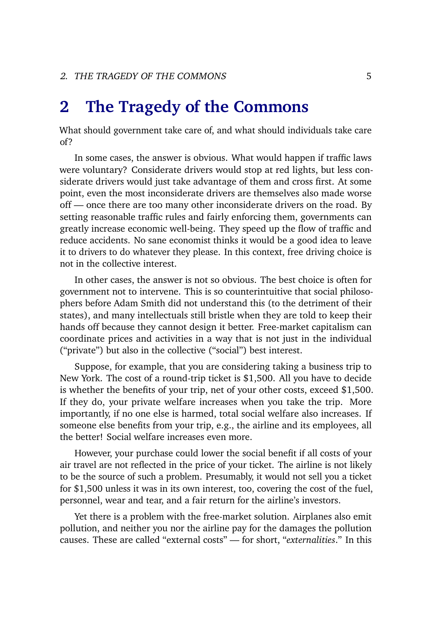### **2 The Tragedy of the Commons**

What should government take care of, and what should individuals take care of?

In some cases, the answer is obvious. What would happen if traffic laws were voluntary? Considerate drivers would stop at red lights, but less considerate drivers would just take advantage of them and cross first. At some point, even the most inconsiderate drivers are themselves also made worse off — once there are too many other inconsiderate drivers on the road. By setting reasonable traffic rules and fairly enforcing them, governments can greatly increase economic well-being. They speed up the flow of traffic and reduce accidents. No sane economist thinks it would be a good idea to leave it to drivers to do whatever they please. In this context, free driving choice is not in the collective interest.

In other cases, the answer is not so obvious. The best choice is often for government not to intervene. This is so counterintuitive that social philosophers before Adam Smith did not understand this (to the detriment of their states), and many intellectuals still bristle when they are told to keep their hands off because they cannot design it better. Free-market capitalism can coordinate prices and activities in a way that is not just in the individual ("private") but also in the collective ("social") best interest.

Suppose, for example, that you are considering taking a business trip to New York. The cost of a round-trip ticket is \$1,500. All you have to decide is whether the benefits of your trip, net of your other costs, exceed \$1,500. If they do, your private welfare increases when you take the trip. More importantly, if no one else is harmed, total social welfare also increases. If someone else benefits from your trip, e.g., the airline and its employees, all the better! Social welfare increases even more.

However, your purchase could lower the social benefit if all costs of your air travel are not reflected in the price of your ticket. The airline is not likely to be the source of such a problem. Presumably, it would not sell you a ticket for \$1,500 unless it was in its own interest, too, covering the cost of the fuel, personnel, wear and tear, and a fair return for the airline's investors.

Yet there is a problem with the free-market solution. Airplanes also emit pollution, and neither you nor the airline pay for the damages the pollution causes. These are called "external costs" — for short, "*externalities*." In this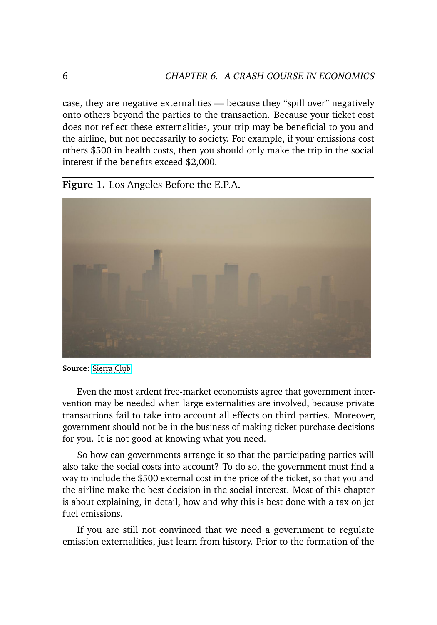case, they are negative externalities — because they "spill over" negatively onto others beyond the parties to the transaction. Because your ticket cost does not reflect these externalities, your trip may be beneficial to you and the airline, but not necessarily to society. For example, if your emissions cost others \$500 in health costs, then you should only make the trip in the social interest if the benefits exceed \$2,000.



**Figure 1.** Los Angeles Before the E.P.A.

**Source:** [Sierra Club.](https://www.sierraclub.org/planet/2017/01/lets-not-let-socals-history-smog-repeat-itself)

Even the most ardent free-market economists agree that government intervention may be needed when large externalities are involved, because private transactions fail to take into account all effects on third parties. Moreover, government should not be in the business of making ticket purchase decisions for you. It is not good at knowing what you need.

So how can governments arrange it so that the participating parties will also take the social costs into account? To do so, the government must find a way to include the \$500 external cost in the price of the ticket, so that you and the airline make the best decision in the social interest. Most of this chapter is about explaining, in detail, how and why this is best done with a tax on jet fuel emissions.

If you are still not convinced that we need a government to regulate emission externalities, just learn from history. Prior to the formation of the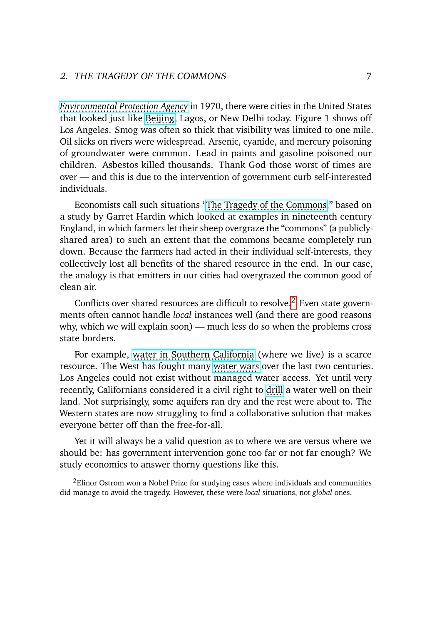#### 2. THE TRAGEDY OF THE COMMONS  $\overline{7}$

[Environmental Protection Agency](https://en.wikipedia.org/wiki/United_States_Environmental_Protection_Agency) in 1970, there were cities in the United States that looked just like [Beijing,](https://www.reuters.com/world/china/visibility-deteriorates-pollution-cloaks-chinas-capital-2021-11-05/) Lagos, or New Delhi today. Figure 1 shows off Los Angeles. Smog was often so thick that visibility was limited to one mile. Oil slicks on rivers were widespread. Arsenic, cyanide, and mercury poisoning of groundwater were common. Lead in paints and gasoline poisoned our children. Asbestos killed thousands. Thank God those worst of times are over — and this is due to the intervention of government curb self-interested individuals.

Economists call such situations ["The Tragedy of the Commons,](https://en.wikipedia.org/wiki/Tragedy_of_the_commons)" based on a study by Garret Hardin which looked at examples in nineteenth century England, in which farmers let their sheep overgraze the "commons" (a publiclyshared area) to such an extent that the commons became completely run down. Because the farmers had acted in their individual self-interests, they collectively lost all benefits of the shared resource in the end. In our case, the analogy is that emitters in our cities had overgrazed the common good of clean air.

Conflicts over shared resources are difficult to resolve. $2$  Even state governments often cannot handle *local* instances well (and there are good reasons why, which we will explain soon) — much less do so when the problems cross state borders.

For example, [water in Southern California](https://www.technologyreview.com/2021/12/16/1041296/california-climate-change-water-drought/?utm_source=pocket-newtab) (where we live) is a scarce resource. The West has fought many [water wars](https://www.bloomberg.com/opinion/articles/2021-06-28/water-wars-are-coming-to-the-american-west) over the last two centuries. Los Angeles could not exist without managed water access. Yet until very recently, Californians considered it a civil right to [drill](https://earth.stanford.edu/news/californias-groundwater-free-all-ends-gauging-whats-left#gs.kopeia) a water well on their land. Not surprisingly, some aquifers ran dry and the rest were about to. The Western states are now struggling to find a collaborative solution that makes everyone better off than the free-for-all.

Yet it will always be a valid question as to where we are versus where we should be: has government intervention gone too far or not far enough? We study economics to answer thorny questions like this.

 ${}^{2}$ Elinor Ostrom won a Nobel Prize for studying cases where individuals and communities did manage to avoid the tragedy. However, these were *local* situations, not *global* ones.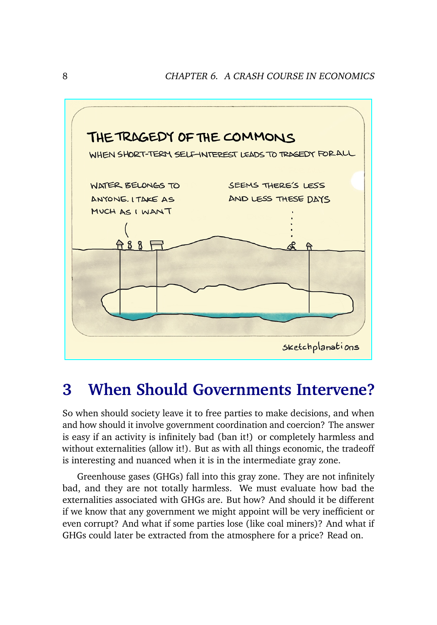

# **3 When Should Governments Intervene?**

So when should society leave it to free parties to make decisions, and when and how should it involve government coordination and coercion? The answer is easy if an activity is infinitely bad (ban it!) or completely harmless and without externalities (allow it!). But as with all things economic, the tradeoff is interesting and nuanced when it is in the intermediate gray zone.

Greenhouse gases (GHGs) fall into this gray zone. They are not infinitely bad, and they are not totally harmless. We must evaluate how bad the externalities associated with GHGs are. But how? And should it be different if we know that any government we might appoint will be very inefficient or even corrupt? And what if some parties lose (like coal miners)? And what if GHGs could later be extracted from the atmosphere for a price? Read on.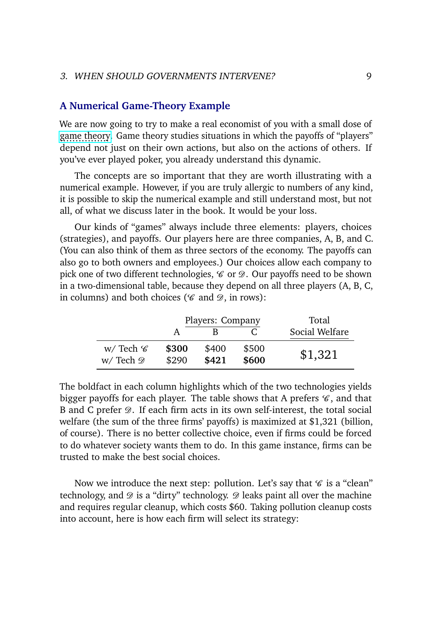#### **A Numerical Game-Theory Example**

We are now going to try to make a real economist of you with a small dose of [game theory.](https://en.wikipedia.org/wiki/Game_theory) Game theory studies situations in which the payoffs of "players" depend not just on their own actions, but also on the actions of others. If you've ever played poker, you already understand this dynamic.

The concepts are so important that they are worth illustrating with a numerical example. However, if you are truly allergic to numbers of any kind, it is possible to skip the numerical example and still understand most, but not all, of what we discuss later in the book. It would be your loss.

Our kinds of "games" always include three elements: players, choices (strategies), and payoffs. Our players here are three companies, A, B, and C. (You can also think of them as three sectors of the economy. The payoffs can also go to both owners and employees.) Our choices allow each company to pick one of two different technologies,  $\mathcal C$  or  $\mathcal D$ . Our payoffs need to be shown in a two-dimensional table, because they depend on all three players (A, B, C, in columns) and both choices ( $\mathscr C$  and  $\mathscr D$ , in rows):

|                                             |                | Players: Company | Total          |                |
|---------------------------------------------|----------------|------------------|----------------|----------------|
|                                             |                |                  |                | Social Welfare |
| w/Tech $\mathscr C$<br>w/Tech $\mathscr{D}$ | \$300<br>\$290 | \$400<br>\$421   | \$500<br>\$600 | \$1,321        |

The boldfact in each column highlights which of the two technologies yields bigger payoffs for each player. The table shows that A prefers  $\mathcal{C}$ , and that B and C prefer  $\mathcal{D}$ . If each firm acts in its own self-interest, the total social welfare (the sum of the three firms' payoffs) is maximized at \$1,321 (billion, of course). There is no better collective choice, even if firms could be forced to do whatever society wants them to do. In this game instance, firms can be trusted to make the best social choices.

Now we introduce the next step: pollution. Let's say that  $\mathscr C$  is a "clean" technology, and  $\mathscr D$  is a "dirty" technology.  $\mathscr D$  leaks paint all over the machine and requires regular cleanup, which costs \$60. Taking pollution cleanup costs into account, here is how each firm will select its strategy: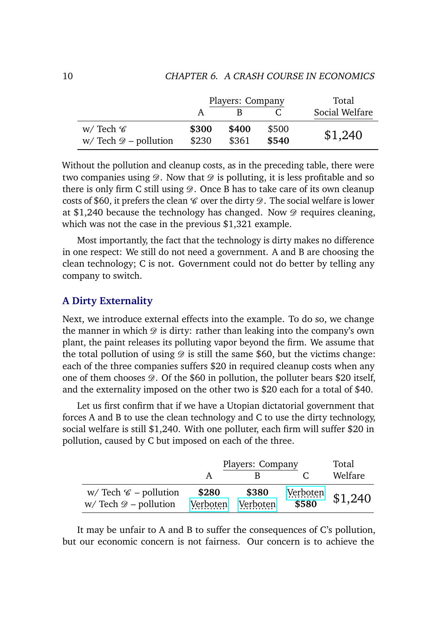|                                                            | Players: Company |                |                | Total          |
|------------------------------------------------------------|------------------|----------------|----------------|----------------|
|                                                            |                  |                |                | Social Welfare |
| w/Tech $\mathscr C$<br>$w/$ Tech $\mathcal{D}$ – pollution | \$300<br>\$230   | \$400<br>\$361 | \$500<br>\$540 | \$1,240        |

Without the pollution and cleanup costs, as in the preceding table, there were two companies using  $\mathcal{D}$ . Now that  $\mathcal{D}$  is polluting, it is less profitable and so there is only firm C still using  $\mathcal{D}$ . Once B has to take care of its own cleanup costs of \$60, it prefers the clean  $\mathscr C$  over the dirty  $\mathscr D$ . The social welfare is lower at \$1,240 because the technology has changed. Now  $\mathcal{D}$  requires cleaning, which was not the case in the previous \$1,321 example.

Most importantly, the fact that the technology is dirty makes no difference in one respect: We still do not need a government. A and B are choosing the clean technology; C is not. Government could not do better by telling any company to switch.

#### **A Dirty Externality**

Next, we introduce external effects into the example. To do so, we change the manner in which  $\mathcal D$  is dirty: rather than leaking into the company's own plant, the paint releases its polluting vapor beyond the firm. We assume that the total pollution of using  $\mathcal D$  is still the same \$60, but the victims change: each of the three companies suffers \$20 in required cleanup costs when any one of them chooses  $\mathcal{D}$ . Of the \$60 in pollution, the polluter bears \$20 itself, and the externality imposed on the other two is \$20 each for a total of \$40.

Let us first confirm that if we have a Utopian dictatorial government that forces A and B to use the clean technology and C to use the dirty technology, social welfare is still \$1,240. With one polluter, each firm will suffer \$20 in pollution, caused by C but imposed on each of the three.

|                                                                         | Players: Company  | Total             |                   |         |
|-------------------------------------------------------------------------|-------------------|-------------------|-------------------|---------|
|                                                                         |                   |                   |                   | Welfare |
| w/Tech $\mathscr{C}$ – pollution<br>$w/$ Tech $\mathcal{D}$ – pollution | \$280<br>Verboten | \$380<br>Verboten | Verboten<br>\$580 | \$1,240 |

It may be unfair to A and B to suffer the consequences of C's pollution, but our economic concern is not fairness. Our concern is to achieve the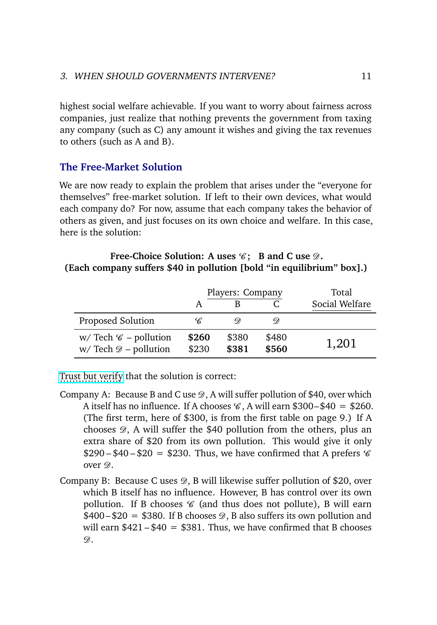highest social welfare achievable. If you want to worry about fairness across companies, just realize that nothing prevents the government from taxing any company (such as C) any amount it wishes and giving the tax revenues to others (such as A and B).

#### **The Free-Market Solution**

We are now ready to explain the problem that arises under the "everyone for themselves" free-market solution. If left to their own devices, what would each company do? For now, assume that each company takes the behavior of others as given, and just focuses on its own choice and welfare. In this case, here is the solution:

#### **Free-Choice Solution:** A uses  $\mathscr{C}$ ; B and C use  $\mathscr{D}$ . **(Each company suffers \$40 in pollution [bold "in equilibrium" box].)**

|                                                                          | Players: Company |                |                   | Total          |
|--------------------------------------------------------------------------|------------------|----------------|-------------------|----------------|
|                                                                          |                  |                |                   | Social Welfare |
| Proposed Solution                                                        | C                | $\omega$       | $\omega_{\!\ell}$ |                |
| w/ Tech $\mathscr{C}$ – pollution<br>$w/$ Tech $\mathscr{D}$ – pollution | \$260<br>\$230   | \$380<br>\$381 | \$480<br>\$560    | 1,201          |

[Trust but verify](https://en.wikipedia.org/wiki/Trust,_but_verify) that the solution is correct:

- Company A: Because B and C use  $\mathcal{D}$ , A will suffer pollution of \$40, over which A itself has no influence. If A chooses  $\mathcal{C}$ , A will earn \$300–\$40 = \$260. (The first term, here of \$300, is from the first table on page 9.) If A chooses  $\mathcal{D}$ , A will suffer the \$40 pollution from the others, plus an extra share of \$20 from its own pollution. This would give it only  $$290 - $40 - $20 = $230$ . Thus, we have confirmed that A prefers  $\mathscr C$ over  $\mathscr{D}$ .
- Company B: Because C uses  $\mathcal{D}$ , B will likewise suffer pollution of \$20, over which B itself has no influence. However, B has control over its own pollution. If B chooses  $\mathscr C$  (and thus does not pollute), B will earn  $$400 - $20 = $380$ . If B chooses  $\mathcal{D},$  B also suffers its own pollution and will earn  $$421 - $40 = $381$ . Thus, we have confirmed that B chooses  $\mathscr{D}$ .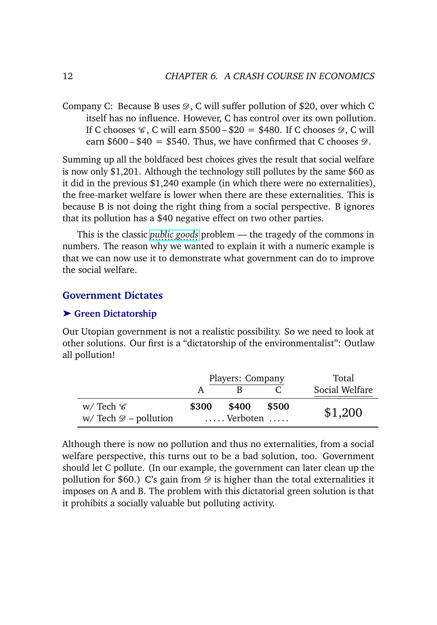Company C: Because B uses  $\mathcal{D}$ , C will suffer pollution of \$20, over which C itself has no influence. However, C has control over its own pollution. If C chooses  $\mathcal C$ , C will earn \$500 – \$20 = \$480. If C chooses  $\mathcal D$ , C will earn  $$600 - $40 = $540$ . Thus, we have confirmed that C chooses  $\mathcal{D}$ .

Summing up all the boldfaced best choices gives the result that social welfare is now only \$1,201. Although the technology still pollutes by the same \$60 as it did in the previous \$1,240 example (in which there were no externalities), the free-market welfare is lower when there are these externalities. This is because B is not doing the right thing from a social perspective. B ignores that its pollution has a \$40 negative effect on two other parties.

This is the classic *[public goods](https://en.wikipedia.org/wiki/Public_good_(economics))* problem — the tragedy of the commons in numbers. The reason why we wanted to explain it with a numeric example is that we can now use it to demonstrate what government can do to improve the social welfare.

#### **Government Dictates**

#### ➤ **Green Dictatorship**

Our Utopian government is not a realistic possibility. So we need to look at other solutions. Our first is a "dictatorship of the environmentalist": Outlaw all pollution!

|                                     | Players: Company |          |       | Total          |
|-------------------------------------|------------------|----------|-------|----------------|
|                                     |                  |          |       | Social Welfare |
| w/Tech $\mathscr C$                 | \$300            | \$400    | \$500 | \$1,200        |
| $w/$ Tech $\mathcal{D}$ – pollution |                  | Verboten |       |                |

Although there is now no pollution and thus no externalities, from a social welfare perspective, this turns out to be a bad solution, too. Government should let C pollute. (In our example, the government can later clean up the pollution for \$60.) C's gain from  $\mathcal D$  is higher than the total externalities it imposes on A and B. The problem with this dictatorial green solution is that it prohibits a socially valuable but polluting activity.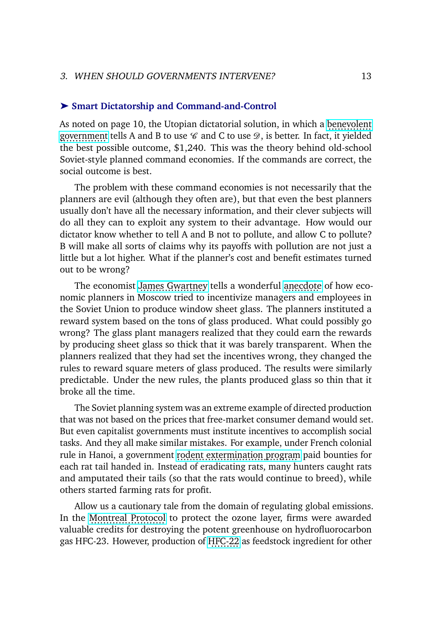#### 3. WHEN SHOULD GOVERNMENTS INTERVENE? 13

#### ➤ **Smart Dictatorship and Command-and-Control**

As noted on page 10, the Utopian dictatorial solution, in which a [benevolent](https://en.wikipedia.org/wiki/Benevolent_dictatorship) [government](https://en.wikipedia.org/wiki/Benevolent_dictatorship) tells A and B to use  $\mathscr C$  and C to use  $\mathscr D$ , is better. In fact, it yielded the best possible outcome, \$1,240. This was the theory behind old-school Soviet-style planned command economies. If the commands are correct, the social outcome is best.

The problem with these command economies is not necessarily that the planners are evil (although they often are), but that even the best planners usually don't have all the necessary information, and their clever subjects will do all they can to exploit any system to their advantage. How would our dictator know whether to tell A and B not to pollute, and allow C to pollute? B will make all sorts of claims why its payoffs with pollution are not just a little but a lot higher. What if the planner's cost and benefit estimates turned out to be wrong?

The economist [James Gwartney](https://myweb.fsu.edu/jdgwartney/) tells a wonderful [anecdote](https://www.econlib.org/archives/2006/11/teaching_econom_2.html) of how economic planners in Moscow tried to incentivize managers and employees in the Soviet Union to produce window sheet glass. The planners instituted a reward system based on the tons of glass produced. What could possibly go wrong? The glass plant managers realized that they could earn the rewards by producing sheet glass so thick that it was barely transparent. When the planners realized that they had set the incentives wrong, they changed the rules to reward square meters of glass produced. The results were similarly predictable. Under the new rules, the plants produced glass so thin that it broke all the time.

The Soviet planning system was an extreme example of directed production that was not based on the prices that free-market consumer demand would set. But even capitalist governments must institute incentives to accomplish social tasks. And they all make similar mistakes. For example, under French colonial rule in Hanoi, a government <u>rodent extermination progra</u>m paid bounties for each rat tail handed in. Instead of eradicating rats, many hunters caught rats and amputated their tails (so that the rats would continue to breed), while others started farming rats for profit.

Allow us a cautionary tale from the domain of regulating global emissions. In the [Montreal Protocol](https://en.wikipedia.org/wiki/Montreal_Protocol) to protect the ozone layer, firms were awarded valuable credits for destroying the potent greenhouse on hydrofluorocarbon gas HFC-23. However, production of [HFC-22](https://ui.adsabs.harvard.edu/abs/2015AGUFM.A43G0400W/abstract) as feedstock ingredient for other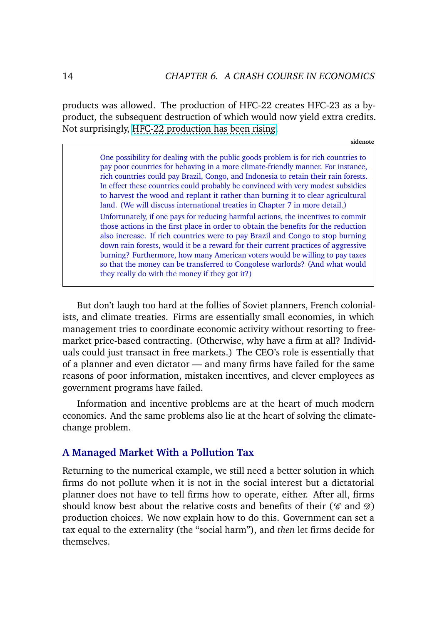products was allowed. The production of HFC-22 creates HFC-23 as a byproduct, the subsequent destruction of which would now yield extra credits. Not surprisingly, [HFC-22 production has been rising.](https://www.nrdc.org/experts/alex-hillbrand/new-science-highlights-curious-case-hfc-23)

**sidenote**

One possibility for dealing with the public goods problem is for rich countries to pay poor countries for behaving in a more climate-friendly manner. For instance, rich countries could pay Brazil, Congo, and Indonesia to retain their rain forests. In effect these countries could probably be convinced with very modest subsidies to harvest the wood and replant it rather than burning it to clear agricultural land. (We will discuss international treaties in Chapter 7 in more detail.)

Unfortunately, if one pays for reducing harmful actions, the incentives to commit those actions in the first place in order to obtain the benefits for the reduction also increase. If rich countries were to pay Brazil and Congo to stop burning down rain forests, would it be a reward for their current practices of aggressive burning? Furthermore, how many American voters would be willing to pay taxes so that the money can be transferred to Congolese warlords? (And what would they really do with the money if they got it?)

But don't laugh too hard at the follies of Soviet planners, French colonialists, and climate treaties. Firms are essentially small economies, in which management tries to coordinate economic activity without resorting to freemarket price-based contracting. (Otherwise, why have a firm at all? Individuals could just transact in free markets.) The CEO's role is essentially that of a planner and even dictator — and many firms have failed for the same reasons of poor information, mistaken incentives, and clever employees as government programs have failed.

Information and incentive problems are at the heart of much modern economics. And the same problems also lie at the heart of solving the climatechange problem.

#### **A Managed Market With a Pollution Tax**

Returning to the numerical example, we still need a better solution in which firms do not pollute when it is not in the social interest but a dictatorial planner does not have to tell firms how to operate, either. After all, firms should know best about the relative costs and benefits of their ( $\mathscr C$  and  $\mathscr D$ ) production choices. We now explain how to do this. Government can set a tax equal to the externality (the "social harm"), and *then* let firms decide for themselves.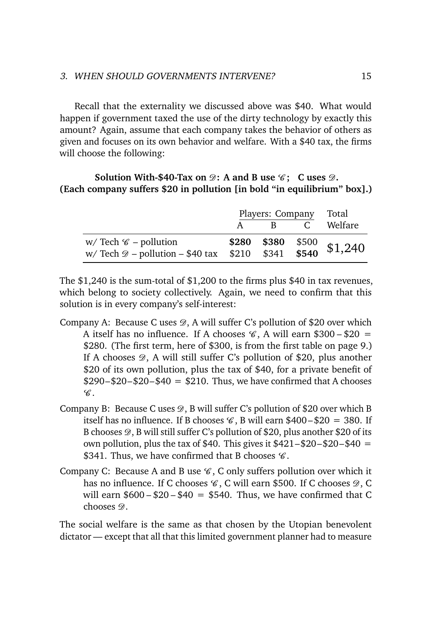Recall that the externality we discussed above was \$40. What would happen if government taxed the use of the dirty technology by exactly this amount? Again, assume that each company takes the behavior of others as given and focuses on its own behavior and welfare. With a \$40 tax, the firms will choose the following:

#### **Solution With-\$40-Tax on**  $\mathcal{D}$ : A and B use  $\mathcal{C}$ ; C uses  $\mathcal{D}$ . **(Each company suffers \$20 in pollution [in bold "in equilibrium" box].)**

|                                                                                                                                       | Players: Company Total |                |  |         |
|---------------------------------------------------------------------------------------------------------------------------------------|------------------------|----------------|--|---------|
|                                                                                                                                       |                        | $\overline{B}$ |  | Welfare |
| w/Tech & - pollution $\frac{$280}{$210}$ \$380 \$500 \$1,240<br>w/Tech $\mathcal{D}$ - pollution - \$40 tax \$210 \$341 \$540 \$1,240 |                        |                |  |         |

The \$1,240 is the sum-total of \$1,200 to the firms plus \$40 in tax revenues, which belong to society collectively. Again, we need to confirm that this solution is in every company's self-interest:

- Company A: Because C uses  $\mathcal{D}$ , A will suffer C's pollution of \$20 over which A itself has no influence. If A chooses  $\mathcal{C}$ , A will earn \$300 – \$20 = \$280. (The first term, here of \$300, is from the first table on page 9.) If A chooses  $\mathcal{D}$ , A will still suffer C's pollution of \$20, plus another \$20 of its own pollution, plus the tax of \$40, for a private benefit of  $$290 - $20 - $40 = $210$ . Thus, we have confirmed that A chooses  $\mathscr{C}.$
- Company B: Because C uses  $\mathcal{D}$ , B will suffer C's pollution of \$20 over which B itself has no influence. If B chooses  $\mathcal{C}$ , B will earn \$400 – \$20 = 380. If B chooses  $\mathcal{D}$ , B will still suffer C's pollution of \$20, plus another \$20 of its own pollution, plus the tax of \$40. This gives it  $$421 - $20 - $40 =$ \$341. Thus, we have confirmed that B chooses  $\mathscr{C}$ .
- Company C: Because A and B use  $\mathcal{C}$ , C only suffers pollution over which it has no influence. If C chooses  $\mathcal{C}$ , C will earn \$500. If C chooses  $\mathcal{D}$ , C will earn  $$600 - $20 - $40 = $540$ . Thus, we have confirmed that C chooses  $\mathcal{D}$ .

The social welfare is the same as that chosen by the Utopian benevolent dictator — except that all that this limited government planner had to measure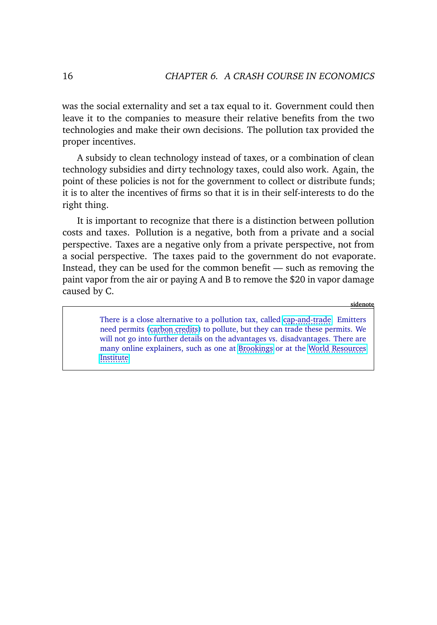was the social externality and set a tax equal to it. Government could then leave it to the companies to measure their relative benefits from the two technologies and make their own decisions. The pollution tax provided the proper incentives.

A subsidy to clean technology instead of taxes, or a combination of clean technology subsidies and dirty technology taxes, could also work. Again, the point of these policies is not for the government to collect or distribute funds; it is to alter the incentives of firms so that it is in their self-interests to do the right thing.

It is important to recognize that there is a distinction between pollution costs and taxes. Pollution is a negative, both from a private and a social perspective. Taxes are a negative only from a private perspective, not from a social perspective. The taxes paid to the government do not evaporate. Instead, they can be used for the common benefit — such as removing the paint vapor from the air or paying A and B to remove the \$20 in vapor damage caused by C.

**sidenote**

There is a close alternative to a pollution tax, called [cap-and-trade.](https://en.wikipedia.org/wiki/Emissions_trading) Emitters need permits ([carbon credits\)](https://en.wikipedia.org/wiki/Carbon_credit) to pollute, but they can trade these permits. We will not go into further details on the advantages vs. disadvantages. There are many online explainers, such as one at [Brookings](https://www.brookings.edu/blog/planetpolicy/2014/08/12/pricing-carbon-a-carbon-tax-or-cap-and-trade/) or at the [World Resources](https://www.wri.org/insights/carbon-tax-vs-cap-and-trade-whats-better-policy-cut-emissions) ........... [Institute.](https://www.wri.org/insights/carbon-tax-vs-cap-and-trade-whats-better-policy-cut-emissions)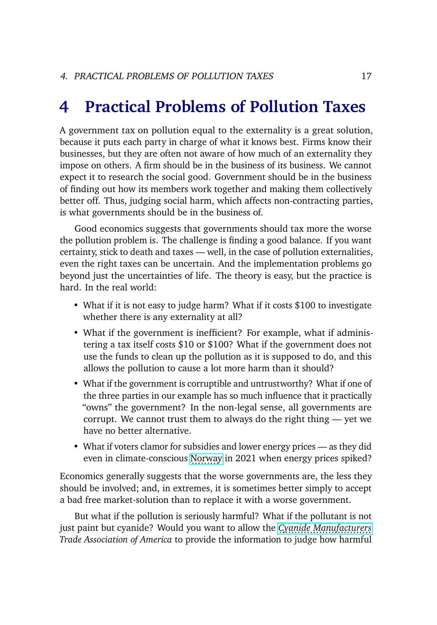## **4 Practical Problems of Pollution Taxes**

A government tax on pollution equal to the externality is a great solution, because it puts each party in charge of what it knows best. Firms know their businesses, but they are often not aware of how much of an externality they impose on others. A firm should be in the business of its business. We cannot expect it to research the social good. Government should be in the business of finding out how its members work together and making them collectively better off. Thus, judging social harm, which affects non-contracting parties, is what governments should be in the business of.

Good economics suggests that governments should tax more the worse the pollution problem is. The challenge is finding a good balance. If you want certainty, stick to death and taxes — well, in the case of pollution externalities, even the right taxes can be uncertain. And the implementation problems go beyond just the uncertainties of life. The theory is easy, but the practice is hard. In the real world:

- What if it is not easy to judge harm? What if it costs \$100 to investigate whether there is any externality at all?
- What if the government is inefficient? For example, what if administering a tax itself costs \$10 or \$100? What if the government does not use the funds to clean up the pollution as it is supposed to do, and this allows the pollution to cause a lot more harm than it should?
- What if the government is corruptible and untrustworthy? What if one of the three parties in our example has so much influence that it practically "owns" the government? In the non-legal sense, all governments are corrupt. We cannot trust them to always do the right thing — yet we have no better alternative.
- What if voters clamor for subsidies and lower energy prices as they did even in climate-conscious [Norway](https://www.reuters.com/business/energy/norway-government-proposes-subsidy-ease-pain-high-power-prices-2021-12-11/) in 2021 when energy prices spiked?

Economics generally suggests that the worse governments are, the less they should be involved; and, in extremes, it is sometimes better simply to accept a bad free market-solution than to replace it with a worse government.

But what if the pollution is seriously harmful? What if the pollutant is not just paint but cyanide? Would you want to allow the *[Cyanide Manufacturers](https://www.thomasnet.com/products/sodium-cyanide-76122209-1.html) Trade Association of America* to provide the information to judge how harmful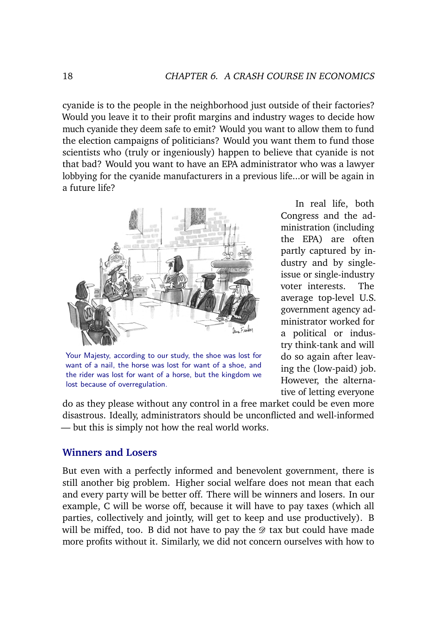cyanide is to the people in the neighborhood just outside of their factories? Would you leave it to their profit margins and industry wages to decide how much cyanide they deem safe to emit? Would you want to allow them to fund the election campaigns of politicians? Would you want them to fund those scientists who (truly or ingeniously) happen to believe that cyanide is not that bad? Would you want to have an EPA administrator who was a lawyer lobbying for the cyanide manufacturers in a previous life...or will be again in a future life?



Your Majesty, according to our study, the shoe was lost for want of a nail, the horse was lost for want of a shoe, and the rider was lost for want of a horse, but the kingdom we lost because of overregulation.

In real life, both Congress and the administration (including the EPA) are often partly captured by industry and by singleissue or single-industry voter interests. The average top-level U.S. government agency administrator worked for a political or industry think-tank and will do so again after leaving the (low-paid) job. However, the alternative of letting everyone

do as they please without any control in a free market could be even more disastrous. Ideally, administrators should be unconflicted and well-informed — but this is simply not how the real world works.

#### **Winners and Losers**

But even with a perfectly informed and benevolent government, there is still another big problem. Higher social welfare does not mean that each and every party will be better off. There will be winners and losers. In our example, C will be worse off, because it will have to pay taxes (which all parties, collectively and jointly, will get to keep and use productively). B will be miffed, too. B did not have to pay the  $\mathscr D$  tax but could have made more profits without it. Similarly, we did not concern ourselves with how to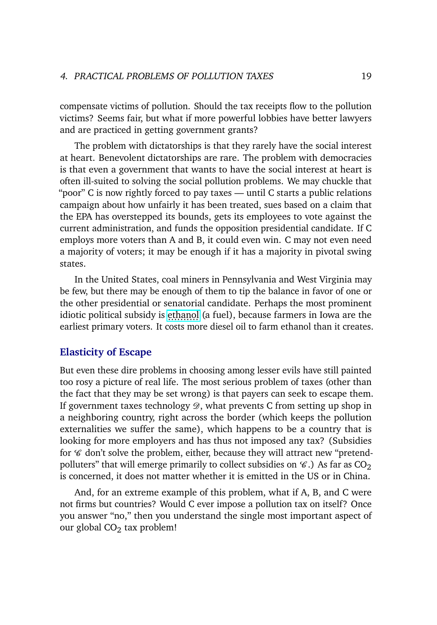compensate victims of pollution. Should the tax receipts flow to the pollution victims? Seems fair, but what if more powerful lobbies have better lawyers and are practiced in getting government grants?

The problem with dictatorships is that they rarely have the social interest at heart. Benevolent dictatorships are rare. The problem with democracies is that even a government that wants to have the social interest at heart is often ill-suited to solving the social pollution problems. We may chuckle that "poor" C is now rightly forced to pay taxes — until C starts a public relations campaign about how unfairly it has been treated, sues based on a claim that the EPA has overstepped its bounds, gets its employees to vote against the current administration, and funds the opposition presidential candidate. If C employs more voters than A and B, it could even win. C may not even need a majority of voters; it may be enough if it has a majority in pivotal swing states.

In the United States, coal miners in Pennsylvania and West Virginia may be few, but there may be enough of them to tip the balance in favor of one or the other presidential or senatorial candidate. Perhaps the most prominent idiotic political subsidy is [ethanol](https://www.greentechmedia.com/articles/read/the-true-cost-of-corn-ethanol) (a fuel), because farmers in Iowa are the earliest primary voters. It costs more diesel oil to farm ethanol than it creates.

#### **Elasticity of Escape**

But even these dire problems in choosing among lesser evils have still painted too rosy a picture of real life. The most serious problem of taxes (other than the fact that they may be set wrong) is that payers can seek to escape them. If government taxes technology  $\mathcal{D}$ , what prevents C from setting up shop in a neighboring country, right across the border (which keeps the pollution externalities we suffer the same), which happens to be a country that is looking for more employers and has thus not imposed any tax? (Subsidies for  $\mathscr C$  don't solve the problem, either, because they will attract new "pretendpolluters" that will emerge primarily to collect subsidies on  $\mathscr{C}$ .) As far as CO<sub>2</sub> is concerned, it does not matter whether it is emitted in the US or in China.

And, for an extreme example of this problem, what if A, B, and C were not firms but countries? Would C ever impose a pollution tax on itself? Once you answer "no," then you understand the single most important aspect of our global  $CO<sub>2</sub>$  tax problem!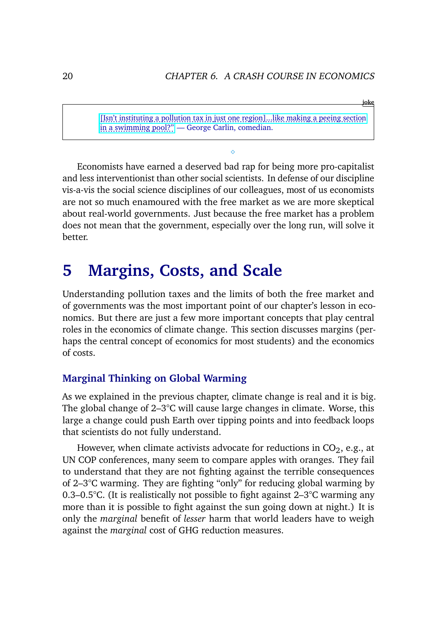**joke**

[\[Isn't instituting a pollution tax in just one region\]...like making a peeing section](https://www.goodreads.com/quotes/93695-isn-t-making-a-smoking-section-in-a-restaurant-like-making) [in a swimming pool?"](https://www.goodreads.com/quotes/93695-isn-t-making-a-smoking-section-in-a-restaurant-like-making) — George Carlin, comedian.

⋄

Economists have earned a deserved bad rap for being more pro-capitalist and less interventionist than other social scientists. In defense of our discipline vis-a-vis the social science disciplines of our colleagues, most of us economists are not so much enamoured with the free market as we are more skeptical about real-world governments. Just because the free market has a problem does not mean that the government, especially over the long run, will solve it better.

### **5 Margins, Costs, and Scale**

Understanding pollution taxes and the limits of both the free market and of governments was the most important point of our chapter's lesson in economics. But there are just a few more important concepts that play central roles in the economics of climate change. This section discusses margins (perhaps the central concept of economics for most students) and the economics of costs.

#### **Marginal Thinking on Global Warming**

As we explained in the previous chapter, climate change is real and it is big. The global change of 2–3°C will cause large changes in climate. Worse, this large a change could push Earth over tipping points and into feedback loops that scientists do not fully understand.

However, when climate activists advocate for reductions in  $CO_2$ , e.g., at UN COP conferences, many seem to compare apples with oranges. They fail to understand that they are not fighting against the terrible consequences of 2–3°C warming. They are fighting "only" for reducing global warming by 0.3–0.5 $\degree$ C. (It is realistically not possible to fight against 2–3 $\degree$ C warming any more than it is possible to fight against the sun going down at night.) It is only the *marginal* benefit of *lesser* harm that world leaders have to weigh against the *marginal* cost of GHG reduction measures.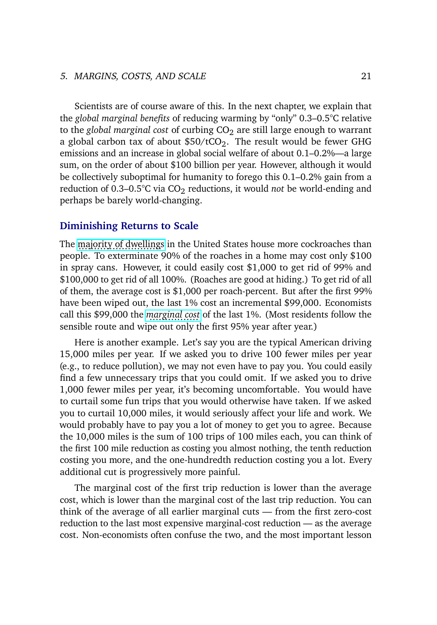#### 5. MARGINS, COSTS, AND SCALE 21

Scientists are of course aware of this. In the next chapter, we explain that the *global marginal benefits* of reducing warming by "only" 0.3–0.5°C relative to the *global marginal cost* of curbing CO<sub>2</sub> are still large enough to warrant a global carbon tax of about  $$50/tCO<sub>2</sub>$ . The result would be fewer GHG emissions and an increase in global social welfare of about 0.1–0.2%—a large sum, on the order of about \$100 billion per year. However, although it would be collectively suboptimal for humanity to forego this 0.1–0.2% gain from a reduction of  $0.3-0.5^{\circ}$ C via CO<sub>2</sub> reductions, it would *not* be world-ending and perhaps be barely world-changing.

#### **Diminishing Returns to Scale**

The [majority of dwellings](https://www.pestworld.org/news-hub/press-releases/cockroaches-and-mice-top-us-government-list-of-home-deficiencies/) in the United States house more cockroaches than people. To exterminate 90% of the roaches in a home may cost only \$100 in spray cans. However, it could easily cost \$1,000 to get rid of 99% and \$100,000 to get rid of all 100%. (Roaches are good at hiding.) To get rid of all of them, the average cost is \$1,000 per roach-percent. But after the first 99% have been wiped out, the last 1% cost an incremental \$99,000. Economists call this \$99,000 the *[marginal cost](https://en.wikipedia.org/wiki/Marginal_cost)* of the last 1%. (Most residents follow the sensible route and wipe out only the first 95% year after year.)

Here is another example. Let's say you are the typical American driving 15,000 miles per year. If we asked you to drive 100 fewer miles per year (e.g., to reduce pollution), we may not even have to pay you. You could easily find a few unnecessary trips that you could omit. If we asked you to drive 1,000 fewer miles per year, it's becoming uncomfortable. You would have to curtail some fun trips that you would otherwise have taken. If we asked you to curtail 10,000 miles, it would seriously affect your life and work. We would probably have to pay you a lot of money to get you to agree. Because the 10,000 miles is the sum of 100 trips of 100 miles each, you can think of the first 100 mile reduction as costing you almost nothing, the tenth reduction costing you more, and the one-hundredth reduction costing you a lot. Every additional cut is progressively more painful.

The marginal cost of the first trip reduction is lower than the average cost, which is lower than the marginal cost of the last trip reduction. You can think of the average of all earlier marginal cuts — from the first zero-cost reduction to the last most expensive marginal-cost reduction — as the average cost. Non-economists often confuse the two, and the most important lesson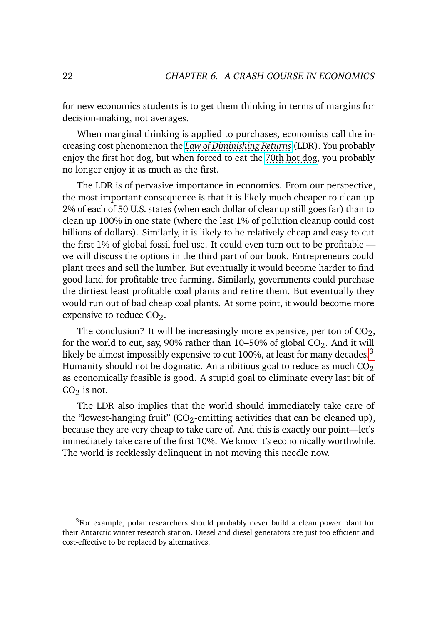for new economics students is to get them thinking in terms of margins for decision-making, not averages.

When marginal thinking is applied to purchases, economists call the increasing cost phenomenon the *[Law of Diminishing Returns](https://en.wikipedia.org/wiki/Diminishing_returns)* (LDR). You probably enjoy the first hot dog, but when forced to eat the [70th hot dog,](https://www.youtube.com/watch?v=MtZfjD8v2Dg) you probably no longer enjoy it as much as the first.

The LDR is of pervasive importance in economics. From our perspective, the most important consequence is that it is likely much cheaper to clean up 2% of each of 50 U.S. states (when each dollar of cleanup still goes far) than to clean up 100% in one state (where the last 1% of pollution cleanup could cost billions of dollars). Similarly, it is likely to be relatively cheap and easy to cut the first 1% of global fossil fuel use. It could even turn out to be profitable we will discuss the options in the third part of our book. Entrepreneurs could plant trees and sell the lumber. But eventually it would become harder to find good land for profitable tree farming. Similarly, governments could purchase the dirtiest least profitable coal plants and retire them. But eventually they would run out of bad cheap coal plants. At some point, it would become more expensive to reduce  $CO<sub>2</sub>$ .

The conclusion? It will be increasingly more expensive, per ton of  $CO<sub>2</sub>$ , for the world to cut, say, 90% rather than  $10-50%$  of global  $CO<sub>2</sub>$ . And it will likely be almost impossibly expensive to cut 100%, at least for many decades.<sup>[3](#page-27-0)</sup> Humanity should not be dogmatic. An ambitious goal to reduce as much  $CO<sub>2</sub>$ as economically feasible is good. A stupid goal to eliminate every last bit of  $CO<sub>2</sub>$  is not.

The LDR also implies that the world should immediately take care of the "lowest-hanging fruit"  $(CO<sub>2</sub>$ -emitting activities that can be cleaned up), because they are very cheap to take care of. And this is exactly our point—let's immediately take care of the first 10%. We know it's economically worthwhile. The world is recklessly delinquent in not moving this needle now.

<sup>&</sup>lt;sup>3</sup>For example, polar researchers should probably never build a clean power plant for their Antarctic winter research station. Diesel and diesel generators are just too efficient and cost-effective to be replaced by alternatives.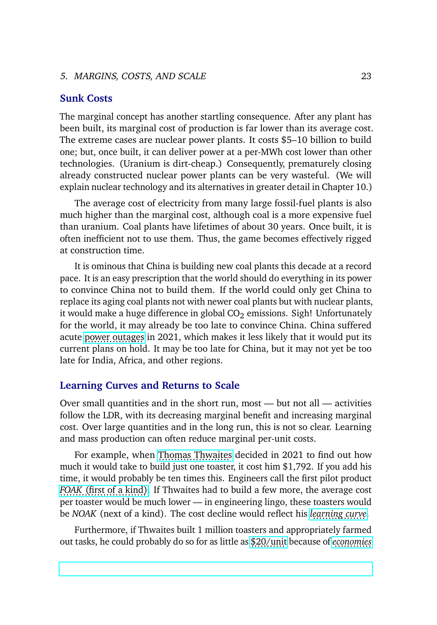#### 5. MARGINS, COSTS, AND SCALE 23

#### **Sunk Costs**

The marginal concept has another startling consequence. After any plant has been built, its marginal cost of production is far lower than its average cost. The extreme cases are nuclear power plants. It costs \$5–10 billion to build one; but, once built, it can deliver power at a per-MWh cost lower than other technologies. (Uranium is dirt-cheap.) Consequently, prematurely closing already constructed nuclear power plants can be very wasteful. (We will explain nuclear technology and its alternatives in greater detail in Chapter 10.)

The average cost of electricity from many large fossil-fuel plants is also much higher than the marginal cost, although coal is a more expensive fuel than uranium. Coal plants have lifetimes of about 30 years. Once built, it is often inefficient not to use them. Thus, the game becomes effectively rigged at construction time.

It is ominous that China is building new coal plants this decade at a record pace. It is an easy prescription that the world should do everything in its power to convince China not to build them. If the world could only get China to replace its aging coal plants not with newer coal plants but with nuclear plants, it would make a huge difference in global  $CO<sub>2</sub>$  emissions. Sigh! Unfortunately for the world, it may already be too late to convince China. China suffered acute [power outages](https://www.bbc.com/news/business-58733193) in 2021, which makes it less likely that it would put its current plans on hold. It may be too late for China, but it may not yet be too late for India, Africa, and other regions.

#### **Learning Curves and Returns to Scale**

Over small quantities and in the short run, most — but not all — activities follow the LDR, with its decreasing marginal benefit and increasing marginal cost. Over large quantities and in the long run, this is not so clear. Learning and mass production can often reduce marginal per-unit costs.

For example, when [Thomas Thwaites](https://www.amazon.com/dp/B007N209P4) decided in 2021 to find out how much it would take to build just one toaster, it cost him \$1,792. If you add his time, it would probably be ten times this. Engineers call the first pilot product *FOAK* (first of a kind). If Thwaites had to build a few more, the average cost per toaster would be much lower — in engineering lingo, these toasters would be *NOAK* (next of a kind). The cost decline would reflect his [learning curve](https://en.wikipedia.org/wiki/Learning_curve).

Furthermore, if Thwaites built 1 million toasters and appropriately farmed out tasks, he could probably do so for as little as \$<u>20/uni</u>t because of e<u>conomies</u>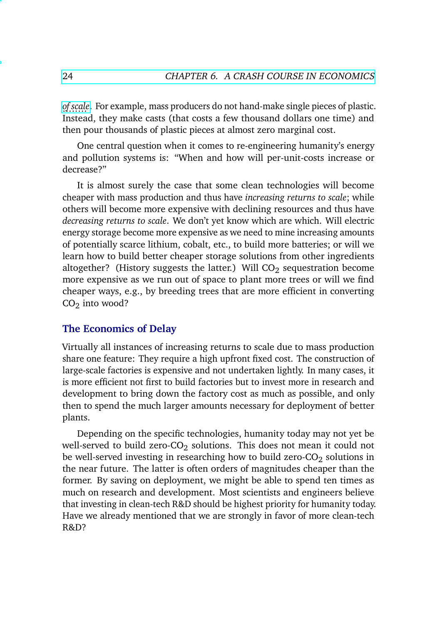[of scale](https://en.wikipedia.org/wiki/Economies_of_scale). For example, mass producers do not hand-make single pieces of plastic. Instead, they make casts (that costs a few thousand dollars one time) and then pour thousands of plastic pieces at almost zero marginal cost.

One central question when it comes to re-engineering humanity's energy and pollution systems is: "When and how will per-unit-costs increase or decrease?"

It is almost surely the case that some clean technologies will become cheaper with mass production and thus have *increasing returns to scale*; while others will become more expensive with declining resources and thus have *decreasing returns to scale*. We don't yet know which are which. Will electric energy storage become more expensive as we need to mine increasing amounts of potentially scarce lithium, cobalt, etc., to build more batteries; or will we learn how to build better cheaper storage solutions from other ingredients altogether? (History suggests the latter.) Will  $CO<sub>2</sub>$  sequestration become more expensive as we run out of space to plant more trees or will we find cheaper ways, e.g., by breeding trees that are more efficient in converting  $CO<sub>2</sub>$  into wood?

#### **The Economics of Delay**

Virtually all instances of increasing returns to scale due to mass production share one feature: They require a high upfront fixed cost. The construction of large-scale factories is expensive and not undertaken lightly. In many cases, it is more efficient not first to build factories but to invest more in research and development to bring down the factory cost as much as possible, and only then to spend the much larger amounts necessary for deployment of better plants.

Depending on the specific technologies, humanity today may not yet be well-served to build zero- $CO<sub>2</sub>$  solutions. This does not mean it could not be well-served investing in researching how to build zero- $CO<sub>2</sub>$  solutions in the near future. The latter is often orders of magnitudes cheaper than the former. By saving on deployment, we might be able to spend ten times as much on research and development. Most scientists and engineers believe that investing in clean-tech R&D should be highest priority for humanity today. Have we already mentioned that we are strongly in favor of more clean-tech R&D?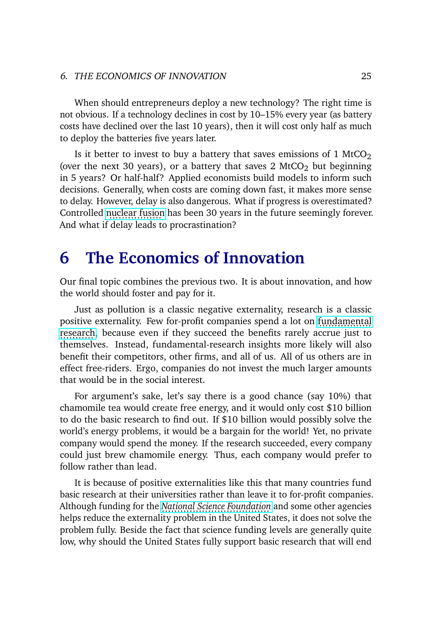#### 6. THE ECONOMICS OF INNOVATION 25

When should entrepreneurs deploy a new technology? The right time is not obvious. If a technology declines in cost by 10–15% every year (as battery costs have declined over the last 10 years), then it will cost only half as much to deploy the batteries five years later.

Is it better to invest to buy a battery that saves emissions of  $1 \text{ MtCO}_2$ (over the next 30 years), or a battery that saves 2 MtCO<sub>2</sub> but beginning in 5 years? Or half-half? Applied economists build models to inform such decisions. Generally, when costs are coming down fast, it makes more sense to delay. However, delay is also dangerous. What if progress is overestimated? Controlled [nuclear fusion](https://www.discovermagazine.com/technology/why-nuclear-fusion-is-always-30-years-away) has been 30 years in the future seemingly forever. And what if delay leads to procrastination?

### **6 The Economics of Innovation**

Our final topic combines the previous two. It is about innovation, and how the world should foster and pay for it.

Just as pollution is a classic negative externality, research is a classic positive externality. Few for-profit companies spend a lot on [fundamental](https://en.wikipedia.org/wiki/Basic_research) ........... [research,](https://en.wikipedia.org/wiki/Basic_research) because even if they succeed the benefits rarely accrue just to themselves. Instead, fundamental-research insights more likely will also benefit their competitors, other firms, and all of us. All of us others are in effect free-riders. Ergo, companies do not invest the much larger amounts that would be in the social interest.

For argument's sake, let's say there is a good chance (say 10%) that chamomile tea would create free energy, and it would only cost \$10 billion to do the basic research to find out. If \$10 billion would possibly solve the world's energy problems, it would be a bargain for the world! Yet, no private company would spend the money. If the research succeeded, every company could just brew chamomile energy. Thus, each company would prefer to follow rather than lead.

It is because of positive externalities like this that many countries fund basic research at their universities rather than leave it to for-profit companies. Although funding for the *[National Science Foundation](https://en.wikipedia.org/wiki/National_Science_Foundation)* and some other agencies helps reduce the externality problem in the United States, it does not solve the problem fully. Beside the fact that science funding levels are generally quite low, why should the United States fully support basic research that will end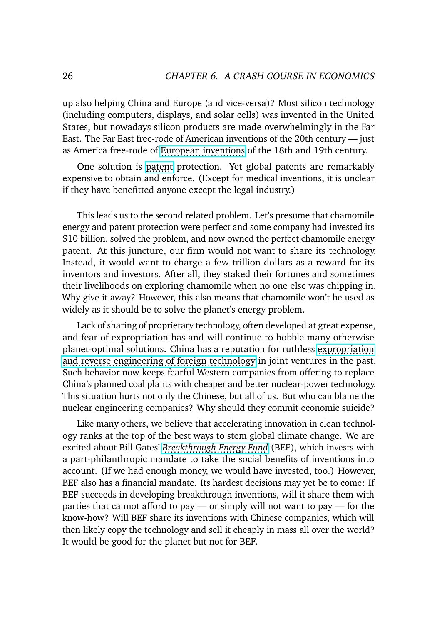up also helping China and Europe (and vice-versa)? Most silicon technology (including computers, displays, and solar cells) was invented in the United States, but nowadays silicon products are made overwhelmingly in the Far East. The Far East free-rode of American inventions of the 20th century — just as America free-rode of [European inventions](https://www.history.com/news/industrial-revolution-spies-europe) of the 18th and 19th century.

One solution is [patent](https://en.wikipedia.org/wiki/Patent) protection. Yet global patents are remarkably expensive to obtain and enforce. (Except for medical inventions, it is unclear if they have benefitted anyone except the legal industry.)

This leads us to the second related problem. Let's presume that chamomile energy and patent protection were perfect and some company had invested its \$10 billion, solved the problem, and now owned the perfect chamomile energy patent. At this juncture, our firm would not want to share its technology. Instead, it would want to charge a few trillion dollars as a reward for its inventors and investors. After all, they staked their fortunes and sometimes their livelihoods on exploring chamomile when no one else was chipping in. Why give it away? However, this also means that chamomile won't be used as widely as it should be to solve the planet's energy problem.

Lack of sharing of proprietary technology, often developed at great expense, and fear of expropriation has and will continue to hobble many otherwise planet-optimal solutions. China has a reputation for ruthless [expropriation](https://japan-forward.com/japans-transfer-of-bullet-train-technology-a-mistake-china-of-course-has-copied-it/) [and reverse engineering of foreign technology](https://japan-forward.com/japans-transfer-of-bullet-train-technology-a-mistake-china-of-course-has-copied-it/) in joint ventures in the past. Such behavior now keeps fearful Western companies from offering to replace China's planned coal plants with cheaper and better nuclear-power technology. This situation hurts not only the Chinese, but all of us. But who can blame the nuclear engineering companies? Why should they commit economic suicide?

Like many others, we believe that accelerating innovation in clean technology ranks at the top of the best ways to stem global climate change. We are excited about Bill Gates' *[Breakthrough Energy Fund](https://en.wikipedia.org/wiki/Breakthrough_Energy)* (BEF), which invests with a part-philanthropic mandate to take the social benefits of inventions into account. (If we had enough money, we would have invested, too.) However, BEF also has a financial mandate. Its hardest decisions may yet be to come: If BEF succeeds in developing breakthrough inventions, will it share them with parties that cannot afford to pay — or simply will not want to pay — for the know-how? Will BEF share its inventions with Chinese companies, which will then likely copy the technology and sell it cheaply in mass all over the world? It would be good for the planet but not for BEF.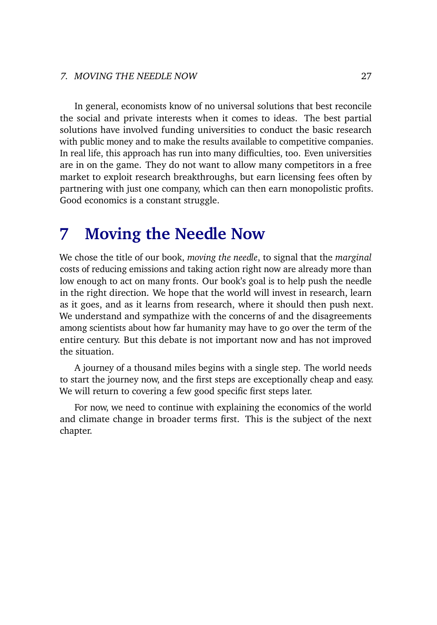#### 7. MOVING THE NEEDLE NOW 27

In general, economists know of no universal solutions that best reconcile the social and private interests when it comes to ideas. The best partial solutions have involved funding universities to conduct the basic research with public money and to make the results available to competitive companies. In real life, this approach has run into many difficulties, too. Even universities are in on the game. They do not want to allow many competitors in a free market to exploit research breakthroughs, but earn licensing fees often by partnering with just one company, which can then earn monopolistic profits. Good economics is a constant struggle.

### **7 Moving the Needle Now**

We chose the title of our book, *moving the needle*, to signal that the *marginal* costs of reducing emissions and taking action right now are already more than low enough to act on many fronts. Our book's goal is to help push the needle in the right direction. We hope that the world will invest in research, learn as it goes, and as it learns from research, where it should then push next. We understand and sympathize with the concerns of and the disagreements among scientists about how far humanity may have to go over the term of the entire century. But this debate is not important now and has not improved the situation.

A journey of a thousand miles begins with a single step. The world needs to start the journey now, and the first steps are exceptionally cheap and easy. We will return to covering a few good specific first steps later.

For now, we need to continue with explaining the economics of the world and climate change in broader terms first. This is the subject of the next chapter.